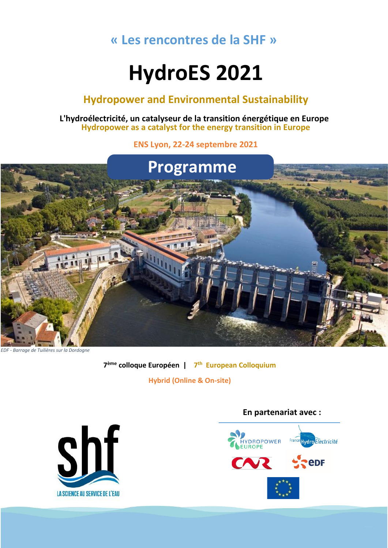# **« Les rencontres de la SHF »**

# **HydroES 2021**

# **Hydropower and Environmental Sustainability**

**L'hydroélectricité, un catalyseur de la transition énergétique en Europe Hydropower as a catalyst for the energy transition in Europe**

**ENS Lyon, 22-24 septembre 2021**



*EDF - Barrage de Tuilières sur la Dordogne*

**7 ème colloque Européen | 7 th European Colloquium**

**Hybrid (Online & On-site)**



### **En partenariat avec :**

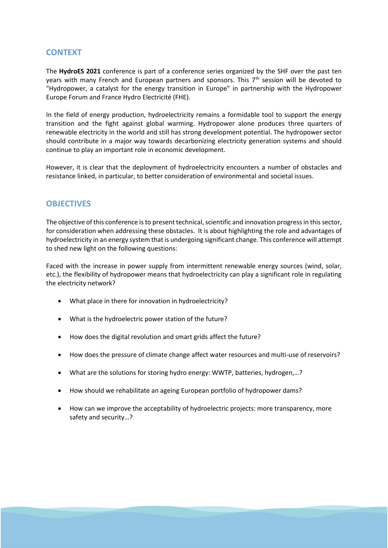### **CONTEXT**

The **HydroES 2021** conference is part of a conference series organized by the SHF over the past ten years with many French and European partners and sponsors. This 7<sup>th</sup> session will be devoted to "Hydropower, a catalyst for the energy transition in Europe" in partnership with the Hydropower Europe Forum and France Hydro Electricité (FHE).

In the field of energy production, hydroelectricity remains a formidable tool to support the energy transition and the fight against global warming. Hydropower alone produces three quarters of renewable electricity in the world and still has strong development potential. The hydropower sector should contribute in a major way towards decarbonizing electricity generation systems and should continue to play an important role in economic development.

However, it is clear that the deployment of hydroelectricity encounters a number of obstacles and resistance linked, in particular, to better consideration of environmental and societal issues.

### **OBJECTIVES**

The objective of this conference is to present technical, scientific and innovation progress in this sector, for consideration when addressing these obstacles. It is about highlighting the role and advantages of hydroelectricity in an energy system that is undergoing significant change. This conference will attempt to shed new light on the following questions:

Faced with the increase in power supply from intermittent renewable energy sources (wind, solar, etc.), the flexibility of hydropower means that hydroelectricity can play a significant role in regulating the electricity network?

- What place in there for innovation in hydroelectricity?
- What is the hydroelectric power station of the future?
- How does the digital revolution and smart grids affect the future?
- How does the pressure of climate change affect water resources and multi-use of reservoirs?
- What are the solutions for storing hydro energy: WWTP, batteries, hydrogen,…?
- How should we rehabilitate an ageing European portfolio of hydropower dams?
- How can we improve the acceptability of hydroelectric projects: more transparency, more safety and security…?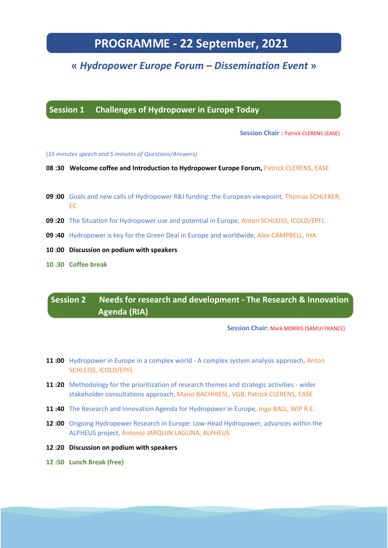# **PROGRAMME - 22 September, 2021**

## **«** *Hydropower Europe Forum – Dissemination Event* **»**

**Session 1 Challenges of Hydropower in Europe Today**

**Session Chair** : Patrick CLERENS (EASE)

(*15 minutes speech and 5 minutes of Questions/Answers)*  **Session Chair :** TBD

- **08 :30 Welcome coffee and Introduction to Hydropower Europe Forum,** Patrick CLERENS, EASE
- **09 :00** Goals and new calls of Hydropower R&I funding: the European viewpoint, Thomas SCHLEKER, EC
- **09 :20** The Situation for Hydropower use and potential in Europe, Anton SCHLEISS, ICOLD/EPFL
- **09 :40** Hydropower is key for the Green Deal in Europe and worldwide, Alex CAMPBELL, IHA
- **10 :00 Discussion on podium with speakers**
- **10 :30 Coffee break**

**Session 2 Needs for research and development - The Research & Innovation Agenda (RIA)**

 **Session Chair:** Mark MORRIS (SAMUI FRANCE)

- **11 :00** Hydropower in Europe in a complex world A complex system analysis approach, Anton SCHLEISS, ICOLD/EPFL
- **11 :20** Methodology for the prioritization of research themes and strategic activities wider stakeholder consultations approach, Mario BACHHIESL, VGB, Patrick CLERENS, EASE
- **11 :40** The Research and Innovation Agenda for Hydropower in Europe, Ingo BALL, WIP R.E.
- **12 :00** Ongoing Hydropower Research in Europe: Low-Head Hydropower, advances within the ALPHEUS project, Antonio JARQUIN LAGUNA, ALPHEUS
- **12 :20 Discussion on podium with speakers**
- **12 :50 Lunch Break (free)**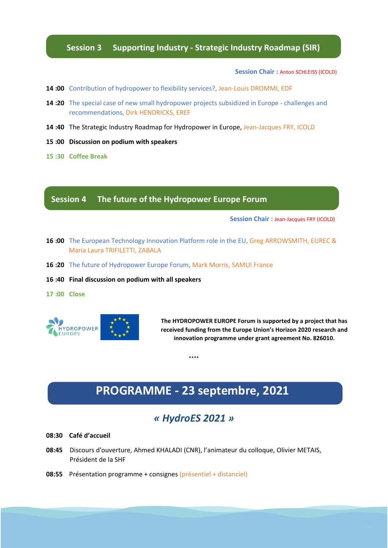#### **Session 3 Supporting Industry - Strategic Industry Roadmap (SIR)**

**Session Chair** : Anton SCHLEISS (ICOLD)

- **14 :00** Contribution of hydropower to flexibility services?, Jean-Louis DROMMI, EDF
- **14 :20** The special case of new small hydropower projects subsidized in Europe challenges and recommendations, Dirk HENDRICKS, EREF
- **14 :40** The Strategic Industry Roadmap for Hydropower in Europe, Jean-Jacques FRY, ICOLD
- **15 :00 Discussion on podium with speakers**
- **15 :30 Coffee Break**

### **Session 4 The future of the Hydropower Europe Forum**

**Session Chair :** Jean-Jacques FRY (ICOLD)

- **16 :00** The European Technology Innovation Platform role in the EU, Greg ARROWSMITH, EUREC & Maria Laura TRIFILETTI, ZABALA
- **16 :20** The future of Hydropower Europe Forum, Mark Morris, SAMUI France
- **16 :40 Final discussion on podium with all speakers**
- **17 :00 Close**



**The HYDROPOWER EUROPE Forum is supported by a project that has received funding from the Europe Union's Horizon 2020 research and innovation programme under grant agreement No. 826010.**

\*\*\*\*

# **PROGRAMME - 23 septembre, 2021**

### *« HydroES 2021 »*

**08:30 Café d'accueil**

- **08:45** Discours d'ouverture, Ahmed KHALADI (CNR), l'animateur du colloque, Olivier METAIS, Président de la SHF
- **08:55** Présentation programme + consignes (présentiel + distanciel)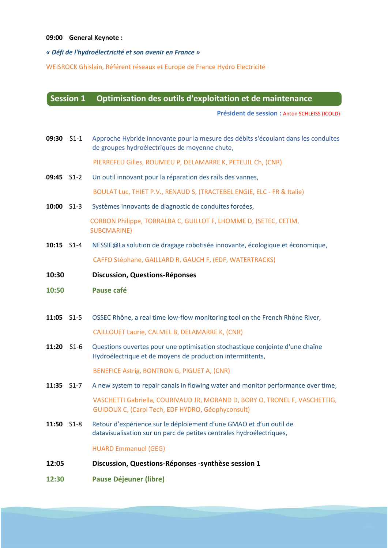#### **09:00 General Keynote :**

#### *« Défi de l'hydroélectricité et son avenir en France »*

WEISROCK Ghislain, Référent réseaux et Europe de France Hydro Electricité

#### **Session 1 Optimisation des outils d'exploitation et de maintenance**

**Président de session :** Anton SCHLEISS (ICOLD)

**09:30** S1-1 Approche Hybride innovante pour la mesure des débits s'écoulant dans les conduites de groupes hydroélectriques de moyenne chute,

PIERREFEU Gilles, ROUMIEU P, DELAMARRE K, PETEUIL Ch, (CNR)

- **09:45** S1-2 Un outil innovant pour la réparation des rails des vannes, BOULAT Luc, THIET P.V., RENAUD S, (TRACTEBEL ENGIE, ELC - FR & Italie)
- **10:00** S1-3 Systèmes innovants de diagnostic de conduites forcées, CORBON Philippe, TORRALBA C, GUILLOT F, LHOMME D, (SETEC, CETIM, SUBCMARINE)
- **10:15** S1-4 NESSIE@La solution de dragage robotisée innovante, écologique et économique, CAFFO Stéphane, GAILLARD R, GAUCH F, (EDF, WATERTRACKS)
- **10:30 Discussion, Questions-Réponses**
- **10:50 Pause café**
- **11:05** S1-5 OSSEC Rhône, a real time low-flow monitoring tool on the French Rhône River,

CAILLOUET Laurie, CALMEL B, DELAMARRE K, (CNR)

- **11:20** S1-6 Questions ouvertes pour une optimisation stochastique conjointe d'une chaîne Hydroélectrique et de moyens de production intermittents, BENEFICE Astrig, BONTRON G, PIGUET A, (CNR)
- **11:35** S1-7 A new system to repair canals in flowing water and monitor performance over time, VASCHETTI Gabriella, COURIVAUD JR, MORAND D, BORY O, TRONEL F, VASCHETTIG, GUIDOUX C, (Carpi Tech, EDF HYDRO, Géophyconsult)
- **11:50** S1-8 Retour d'expérience sur le déploiement d'une GMAO et d'un outil de datavisualisation sur un parc de petites centrales hydroélectriques,

HUARD Emmanuel (GEG)

- **12:05 Discussion, Questions-Réponses -synthèse session 1**
- **12:30 Pause Déjeuner (libre)**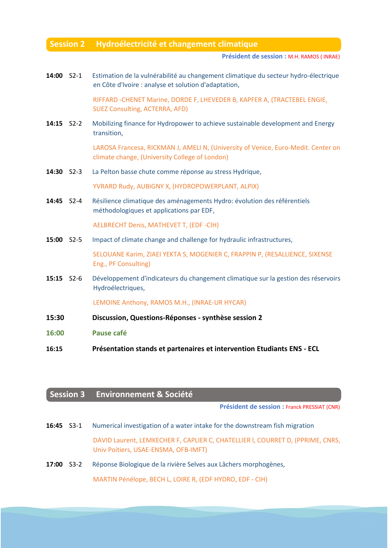#### **Session 2 Hydroélectricité et changement climatique**

**maintenance Président de session :** M.H. RAMOS ( INRAE)

**14:00** S2-1 Estimation de la vulnérabilité au changement climatique du secteur hydro-électrique en Côte d'Ivoire : analyse et solution d'adaptation,

> RIFFARD -CHENET Marine, DORDE F, LHEVEDER B, KAPFER A, (TRACTEBEL ENGIE, SUEZ Consulting, ACTERRA, AFD)

14:15 S2-2 Mobilizing finance for Hydropower to achieve sustainable development and Energy transition,

> LAROSA Francesa, RICKMAN J, AMELI N, (University of Venice, Euro-Medit. Center on climate change, (University College of London)

- **14:30** S2-3 La Pelton basse chute comme réponse au stress Hydrique, YVRARD Rudy, AUBIGNY X, (HYDROPOWERPLANT, ALPIX)
- **14:45** S2-4 Résilience climatique des aménagements Hydro: évolution des référentiels méthodologiques et applications par EDF,

AELBRECHT Denis, MATHEVET T, (EDF -CIH)

**15:00** S2-5 Impact of climate change and challenge for hydraulic infrastructures,

SELOUANE Karim, ZIAEI YEKTA S, MOGENIER C, FRAPPIN P, (RESALLIENCE, SIXENSE Eng., PF Consulting)

**15:15** S2-6 Développement d'indicateurs du changement climatique sur la gestion des réservoirs Hydroélectriques,

LEMOINE Anthony, RAMOS M.H., (INRAE-UR HYCAR)

- **15:30 Discussion, Questions-Réponses - synthèse session 2**
- **16:00 Pause café**
- **16:15 Présentation stands et partenaires et intervention Etudiants ENS - ECL**

### **Session 3 Environnement & Société**

**Président de session :** Franck PRESSIAT (CNR)

**16:45** S3-1 Numerical investigation of a water intake for the downstream fish migration DAVID Laurent, LEMKECHER F, CAPLIER C, CHATELLIER l, COURRET D, (PPRIME, CNRS, Univ Poitiers, USAE-ENSMA, OFB-IMFT)

**17:00** S3-2 Réponse Biologique de la rivière Selves aux Lâchers morphogènes,

MARTIN Pénélope, BECH L, LOIRE R, (EDF HYDRO, EDF - CIH)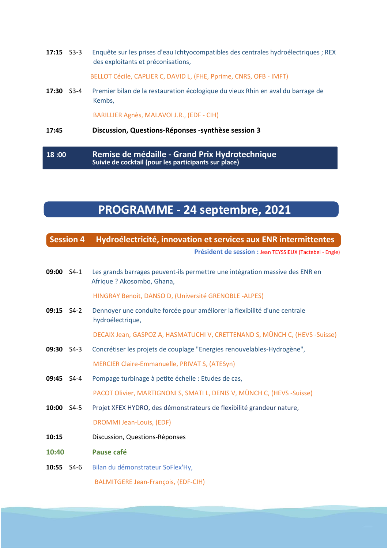**17:15** S3-3 Enquête sur les prises d'eau Ichtyocompatibles des centrales hydroélectriques ; REX des exploitants et préconisations,

BELLOT Cécile, CAPLIER C, DAVID L, (FHE, Pprime, CNRS, OFB - IMFT)

**17:30** S3-4 Premier bilan de la restauration écologique du vieux Rhin en aval du barrage de Kembs,

BARILLIER Agnès, MALAVOI J.R., (EDF - CIH)

#### **17:45 Discussion, Questions-Réponses -synthèse session 3**

**18 :00 Remise de médaille - Grand Prix Hydrotechnique Suivie de cocktail (pour les participants sur place)**

# **PROGRAMME - 24 septembre, 2021**

#### **Session 4 Hydroélectricité, innovation et services aux ENR intermittentes**

**Président de session :** Jean TEYSSIEUX (Tactebel - Engie)

**09:00** S4-1 Les grands barrages peuvent-ils permettre une intégration massive des ENR en Afrique ? Akosombo, Ghana, HINGRAY Benoit, DANSO D, (Université GRENOBLE -ALPES) **09:15** S4-2 Dennoyer une conduite forcée pour améliorer la flexibilité d'une centrale hydroélectrique. DECAIX Jean, GASPOZ A, HASMATUCHI V, CRETTENAND S, MÜNCH C, (HEVS -Suisse) **09:30** S4-3 Concrétiser les projets de couplage "Energies renouvelables-Hydrogène", MERCIER Claire-Emmanuelle, PRIVAT S, (ATESyn) **09:45** S4-4 Pompage turbinage à petite échelle : Etudes de cas, PACOT Olivier, MARTIGNONI S, SMATI L, DENIS V, MÜNCH C, (HEVS -Suisse) **10:00** S4-5 Projet XFEX HYDRO, des démonstrateurs de flexibilité grandeur nature, DROMMI Jean-Louis, (EDF) **10:15** Discussion, Questions-Réponses **10:40 Pause café 10:55** S4-6 Bilan du démonstrateur SoFlex'Hy, BALMITGERE Jean-François, (EDF-CIH)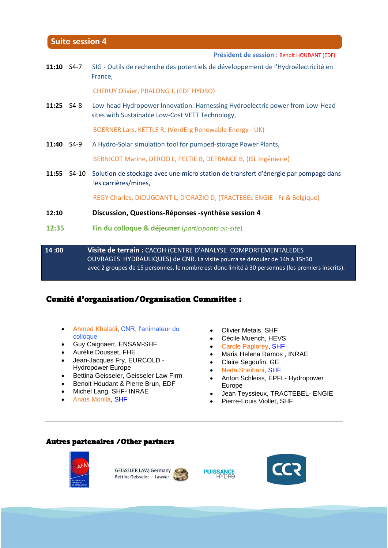#### **Suite session 4**

**Président de session :** Benoit HOUDANT (EDF)

11:10 S4-7 SIG - Outils de recherche des potentiels de développement de l'Hydroélectricité en France,

CHERUY Olivier, PRALONG J, (EDF HYDRO)

**11:25** S4-8 Low-head Hydropower Innovation: Harnessing Hydroelectric power from Low-Head sites with Sustainable Low-Cost VETT Technology,

BOERNER Lars, KETTLE R, (VerdErg Renewable Energy - UK)

**11:40** S4-9 A Hydro-Solar simulation tool for pumped-storage Power Plants,

BERNICOT Marine, DEROO L, PELTIE B, DEFRANCE B, (ISL Ingénierie)

**11:55** S4-10 Solution de stockage avec une micro station de transfert d'énergie par pompage dans les carrières/mines,

REGY Charles, DIOUGOANT L, D'ORAZIO D, (TRACTEBEL ENGIE - Fr & Belgique)

- **12:10 Discussion, Questions-Réponses -synthèse session 4**
- **12:35 Fin du colloque & déjeuner** (*participants on-site*)
- **14 :00 Visite de terrain :** CACOH (CENTRE D'ANALYSE COMPORTEMENTALEDES OUVRAGES HYDRAULIQUES) de CNR. La visite pourra se dérouler de 14h à 15h30 avec 2 groupes de 15 personnes, le nombre est donc limité à 30 personnes (les premiers inscrits).

#### Comité d'organisation/Organisation Committee :

- Ahmed Khaladi, CNR, l'animateur du colloque
- Guy Caignaert, ENSAM-SHF
- Aurélie Dousset, FHE
- Jean-Jacques Fry, EURCOLD Hydropower Europe
- Bettina Geisseler, Geisseler Law Firm
- Benoit Houdant & Pierre Brun, EDF
- Michel Lang, SHF- INRAE
- Anaïs Morilla, SHF
- Olivier Metais, SHF
- Cécile Muench, HEVS
- Carole Paplorey, SHF
- Maria Helena Ramos , INRAE
- Claire Segoufin, GE
- Neda Sheibani, SHF
- Anton Schleiss, EPFL- Hydropower Europe
- Jean Teyssieux, TRACTEBEL- ENGIE
- Pierre-Louis Viollet, SHF

#### Autres partenaires /Other partners